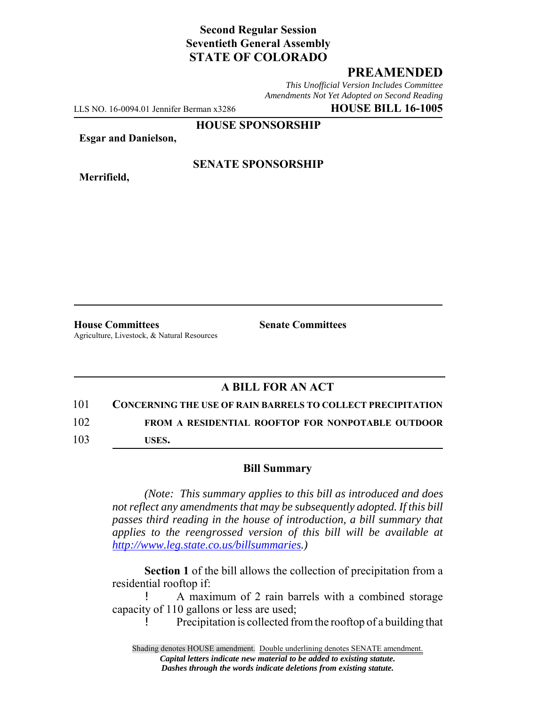# **Second Regular Session Seventieth General Assembly STATE OF COLORADO**

# **PREAMENDED**

*This Unofficial Version Includes Committee Amendments Not Yet Adopted on Second Reading*

LLS NO. 16-0094.01 Jennifer Berman x3286 **HOUSE BILL 16-1005**

**HOUSE SPONSORSHIP**

**Esgar and Danielson,**

**Merrifield,**

#### **SENATE SPONSORSHIP**

**House Committees Senate Committees** Agriculture, Livestock, & Natural Resources

# **A BILL FOR AN ACT**

#### 101 **CONCERNING THE USE OF RAIN BARRELS TO COLLECT PRECIPITATION**

102 **FROM A RESIDENTIAL ROOFTOP FOR NONPOTABLE OUTDOOR**

103 **USES.**

#### **Bill Summary**

*(Note: This summary applies to this bill as introduced and does not reflect any amendments that may be subsequently adopted. If this bill passes third reading in the house of introduction, a bill summary that applies to the reengrossed version of this bill will be available at http://www.leg.state.co.us/billsummaries.)*

**Section 1** of the bill allows the collection of precipitation from a residential rooftop if:

! A maximum of 2 rain barrels with a combined storage capacity of 110 gallons or less are used;

! Precipitation is collected from the rooftop of a building that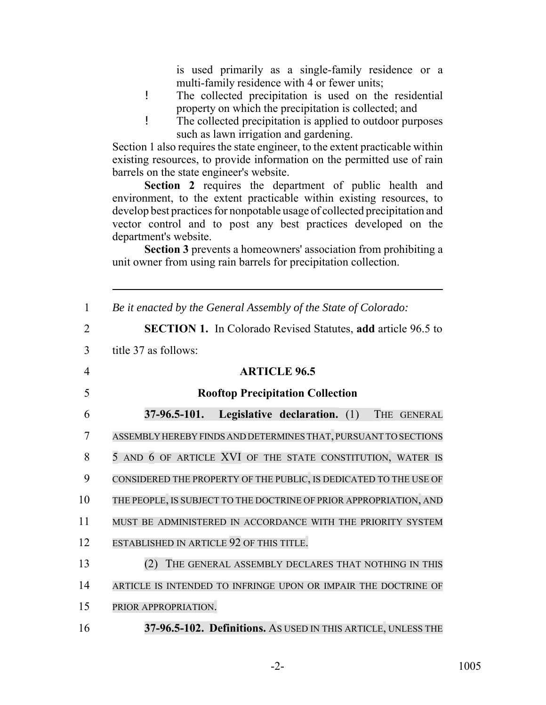is used primarily as a single-family residence or a multi-family residence with 4 or fewer units;

- ! The collected precipitation is used on the residential property on which the precipitation is collected; and
- ! The collected precipitation is applied to outdoor purposes such as lawn irrigation and gardening.

Section 1 also requires the state engineer, to the extent practicable within existing resources, to provide information on the permitted use of rain barrels on the state engineer's website.

Section 2 requires the department of public health and environment, to the extent practicable within existing resources, to develop best practices for nonpotable usage of collected precipitation and vector control and to post any best practices developed on the department's website.

**Section 3** prevents a homeowners' association from prohibiting a unit owner from using rain barrels for precipitation collection.

| $\mathbf{1}$   | Be it enacted by the General Assembly of the State of Colorado:     |
|----------------|---------------------------------------------------------------------|
| $\overline{2}$ | <b>SECTION 1.</b> In Colorado Revised Statutes, add article 96.5 to |
| 3              | title 37 as follows:                                                |
| $\overline{4}$ | <b>ARTICLE 96.5</b>                                                 |
| 5              | <b>Rooftop Precipitation Collection</b>                             |
| 6              | $37-96.5-101.$<br>Legislative declaration. (1)<br>THE GENERAL       |
| $\overline{7}$ | ASSEMBLY HEREBY FINDS AND DETERMINES THAT, PURSUANT TO SECTIONS     |
| 8              | 5 AND 6 OF ARTICLE XVI OF THE STATE CONSTITUTION, WATER IS          |
| 9              | CONSIDERED THE PROPERTY OF THE PUBLIC, IS DEDICATED TO THE USE OF   |
| 10             | THE PEOPLE, IS SUBJECT TO THE DOCTRINE OF PRIOR APPROPRIATION, AND  |
| 11             | MUST BE ADMINISTERED IN ACCORDANCE WITH THE PRIORITY SYSTEM         |
| 12             | ESTABLISHED IN ARTICLE 92 OF THIS TITLE.                            |
| 13             | THE GENERAL ASSEMBLY DECLARES THAT NOTHING IN THIS<br>(2)           |
| 14             | ARTICLE IS INTENDED TO INFRINGE UPON OR IMPAIR THE DOCTRINE OF      |
| 15             | PRIOR APPROPRIATION.                                                |
| 16             | 37-96.5-102. Definitions. AS USED IN THIS ARTICLE, UNLESS THE       |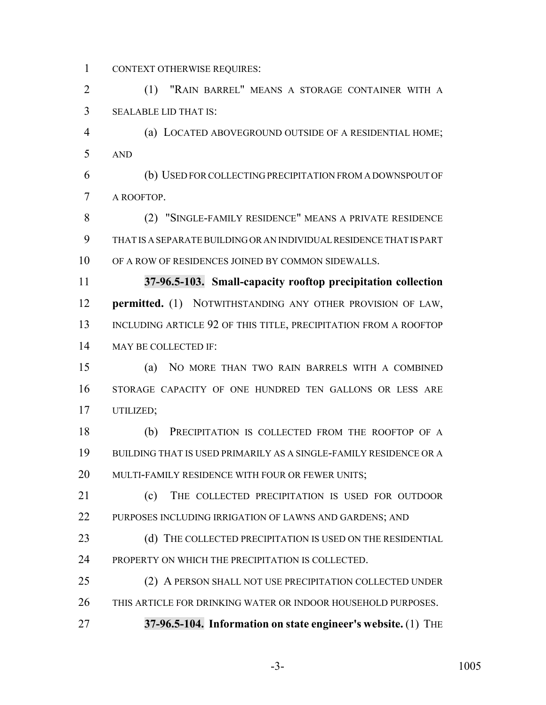CONTEXT OTHERWISE REQUIRES:

 (1) "RAIN BARREL" MEANS A STORAGE CONTAINER WITH A SEALABLE LID THAT IS:

 (a) LOCATED ABOVEGROUND OUTSIDE OF A RESIDENTIAL HOME; AND

 (b) USED FOR COLLECTING PRECIPITATION FROM A DOWNSPOUT OF A ROOFTOP.

 (2) "SINGLE-FAMILY RESIDENCE" MEANS A PRIVATE RESIDENCE THAT IS A SEPARATE BUILDING OR AN INDIVIDUAL RESIDENCE THAT IS PART OF A ROW OF RESIDENCES JOINED BY COMMON SIDEWALLS.

 **37-96.5-103. Small-capacity rooftop precipitation collection permitted.** (1) NOTWITHSTANDING ANY OTHER PROVISION OF LAW, 13 INCLUDING ARTICLE 92 OF THIS TITLE, PRECIPITATION FROM A ROOFTOP MAY BE COLLECTED IF:

 (a) NO MORE THAN TWO RAIN BARRELS WITH A COMBINED STORAGE CAPACITY OF ONE HUNDRED TEN GALLONS OR LESS ARE UTILIZED;

 (b) PRECIPITATION IS COLLECTED FROM THE ROOFTOP OF A BUILDING THAT IS USED PRIMARILY AS A SINGLE-FAMILY RESIDENCE OR A MULTI-FAMILY RESIDENCE WITH FOUR OR FEWER UNITS;

21 (c) THE COLLECTED PRECIPITATION IS USED FOR OUTDOOR PURPOSES INCLUDING IRRIGATION OF LAWNS AND GARDENS; AND

23 (d) THE COLLECTED PRECIPITATION IS USED ON THE RESIDENTIAL PROPERTY ON WHICH THE PRECIPITATION IS COLLECTED.

 (2) A PERSON SHALL NOT USE PRECIPITATION COLLECTED UNDER THIS ARTICLE FOR DRINKING WATER OR INDOOR HOUSEHOLD PURPOSES.

**37-96.5-104. Information on state engineer's website.** (1) THE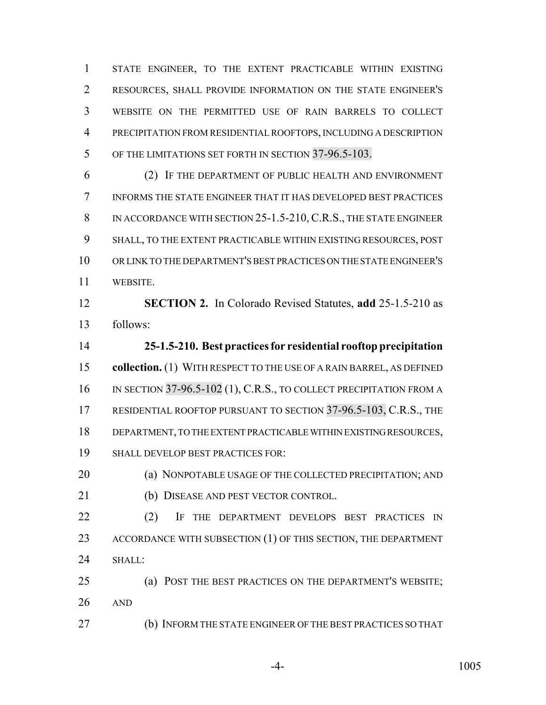STATE ENGINEER, TO THE EXTENT PRACTICABLE WITHIN EXISTING RESOURCES, SHALL PROVIDE INFORMATION ON THE STATE ENGINEER'S WEBSITE ON THE PERMITTED USE OF RAIN BARRELS TO COLLECT PRECIPITATION FROM RESIDENTIAL ROOFTOPS, INCLUDING A DESCRIPTION OF THE LIMITATIONS SET FORTH IN SECTION 37-96.5-103.

 (2) IF THE DEPARTMENT OF PUBLIC HEALTH AND ENVIRONMENT INFORMS THE STATE ENGINEER THAT IT HAS DEVELOPED BEST PRACTICES 8 IN ACCORDANCE WITH SECTION 25-1.5-210, C.R.S., THE STATE ENGINEER SHALL, TO THE EXTENT PRACTICABLE WITHIN EXISTING RESOURCES, POST OR LINK TO THE DEPARTMENT'S BEST PRACTICES ON THE STATE ENGINEER'S WEBSITE.

 **SECTION 2.** In Colorado Revised Statutes, **add** 25-1.5-210 as follows:

 **25-1.5-210. Best practices for residential rooftop precipitation collection.** (1) WITH RESPECT TO THE USE OF A RAIN BARREL, AS DEFINED 16 IN SECTION 37-96.5-102 (1), C.R.S., TO COLLECT PRECIPITATION FROM A 17 RESIDENTIAL ROOFTOP PURSUANT TO SECTION 37-96.5-103, C.R.S., THE DEPARTMENT, TO THE EXTENT PRACTICABLE WITHIN EXISTING RESOURCES, SHALL DEVELOP BEST PRACTICES FOR:

**(a) NONPOTABLE USAGE OF THE COLLECTED PRECIPITATION; AND** (b) DISEASE AND PEST VECTOR CONTROL.

22 (2) IF THE DEPARTMENT DEVELOPS BEST PRACTICES IN 23 ACCORDANCE WITH SUBSECTION (1) OF THIS SECTION, THE DEPARTMENT 24 SHALL:

 (a) POST THE BEST PRACTICES ON THE DEPARTMENT'S WEBSITE; AND

(b) INFORM THE STATE ENGINEER OF THE BEST PRACTICES SO THAT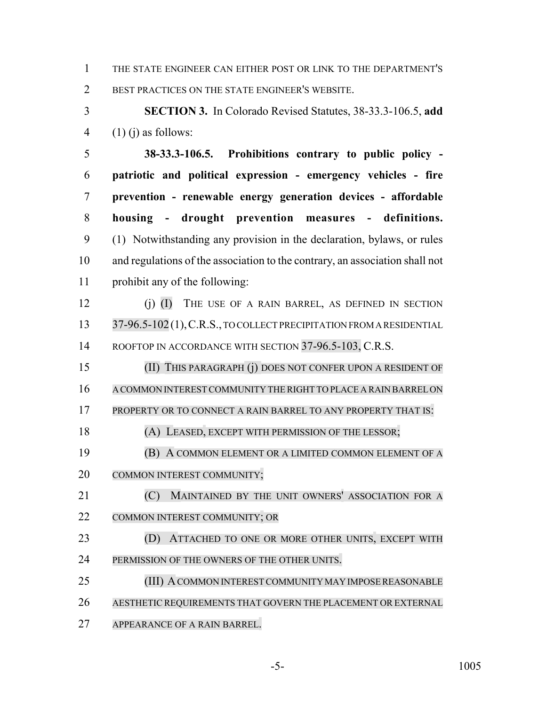THE STATE ENGINEER CAN EITHER POST OR LINK TO THE DEPARTMENT'S BEST PRACTICES ON THE STATE ENGINEER'S WEBSITE.

 **SECTION 3.** In Colorado Revised Statutes, 38-33.3-106.5, **add** 4  $(1)$  (j) as follows:

 **38-33.3-106.5. Prohibitions contrary to public policy - patriotic and political expression - emergency vehicles - fire prevention - renewable energy generation devices - affordable housing - drought prevention measures - definitions.** (1) Notwithstanding any provision in the declaration, bylaws, or rules and regulations of the association to the contrary, an association shall not prohibit any of the following:

 (j) (I) THE USE OF A RAIN BARREL, AS DEFINED IN SECTION 13 37-96.5-102(1), C.R.S., TO COLLECT PRECIPITATION FROM A RESIDENTIAL 14 ROOFTOP IN ACCORDANCE WITH SECTION 37-96.5-103, C.R.S.

 (II) THIS PARAGRAPH (j) DOES NOT CONFER UPON A RESIDENT OF A COMMON INTEREST COMMUNITY THE RIGHT TO PLACE A RAIN BARREL ON

17 PROPERTY OR TO CONNECT A RAIN BARREL TO ANY PROPERTY THAT IS:

(A) LEASED, EXCEPT WITH PERMISSION OF THE LESSOR;

 (B) A COMMON ELEMENT OR A LIMITED COMMON ELEMENT OF A COMMON INTEREST COMMUNITY;

**(C) MAINTAINED BY THE UNIT OWNERS' ASSOCIATION FOR A** COMMON INTEREST COMMUNITY; OR

 (D) ATTACHED TO ONE OR MORE OTHER UNITS, EXCEPT WITH PERMISSION OF THE OWNERS OF THE OTHER UNITS.

25 (III) A COMMON INTEREST COMMUNITY MAY IMPOSE REASONABLE AESTHETIC REQUIREMENTS THAT GOVERN THE PLACEMENT OR EXTERNAL

APPEARANCE OF A RAIN BARREL.